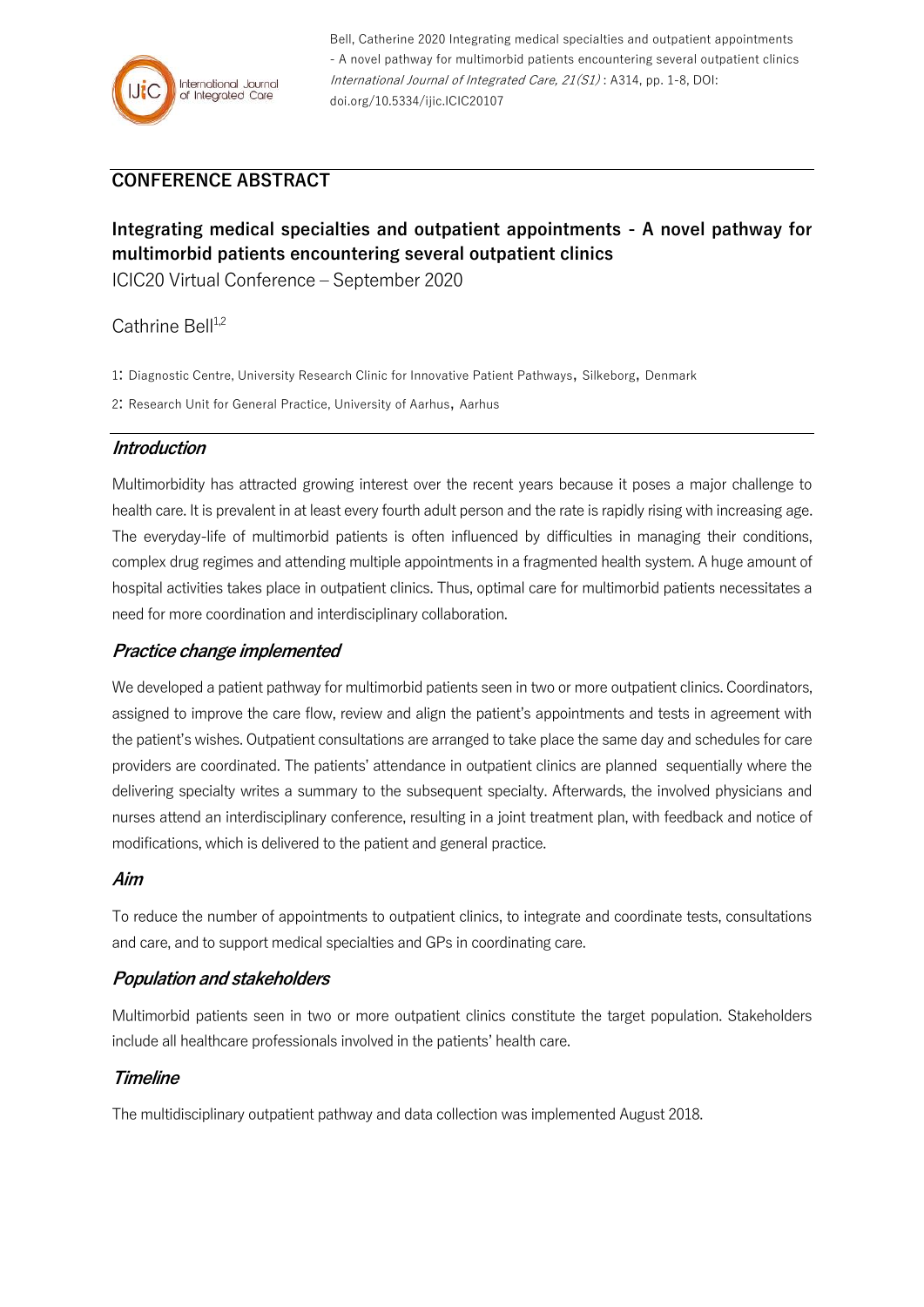

Bell, Catherine 2020 Integrating medical specialties and outpatient appointments - A novel pathway for multimorbid patients encountering several outpatient clinics International Journal of Integrated Care, 21(S1) : A314, pp. 1-8, DOI: doi.org/10.5334/ijic.ICIC20107

# **CONFERENCE ABSTRACT**

# **Integrating medical specialties and outpatient appointments - A novel pathway for multimorbid patients encountering several outpatient clinics**

ICIC20 Virtual Conference – September 2020

## Cathrine Bell<sup>1,2</sup>

- 1: Diagnostic Centre, University Research Clinic for Innovative Patient Pathways, Silkeborg, Denmark
- 2: Research Unit for General Practice, University of Aarhus, Aarhus

#### **Introduction**

Multimorbidity has attracted growing interest over the recent years because it poses a major challenge to health care. It is prevalent in at least every fourth adult person and the rate is rapidly rising with increasing age. The everyday-life of multimorbid patients is often influenced by difficulties in managing their conditions, complex drug regimes and attending multiple appointments in a fragmented health system. A huge amount of hospital activities takes place in outpatient clinics. Thus, optimal care for multimorbid patients necessitates a need for more coordination and interdisciplinary collaboration.

#### **Practice change implemented**

We developed a patient pathway for multimorbid patients seen in two or more outpatient clinics. Coordinators, assigned to improve the care flow, review and align the patient's appointments and tests in agreement with the patient's wishes. Outpatient consultations are arranged to take place the same day and schedules for care providers are coordinated. The patients' attendance in outpatient clinics are planned sequentially where the delivering specialty writes a summary to the subsequent specialty. Afterwards, the involved physicians and nurses attend an interdisciplinary conference, resulting in a joint treatment plan, with feedback and notice of modifications, which is delivered to the patient and general practice.

#### **Aim**

To reduce the number of appointments to outpatient clinics, to integrate and coordinate tests, consultations and care, and to support medical specialties and GPs in coordinating care.

#### **Population and stakeholders**

Multimorbid patients seen in two or more outpatient clinics constitute the target population. Stakeholders include all healthcare professionals involved in the patients' health care.

#### **Timeline**

The multidisciplinary outpatient pathway and data collection was implemented August 2018.